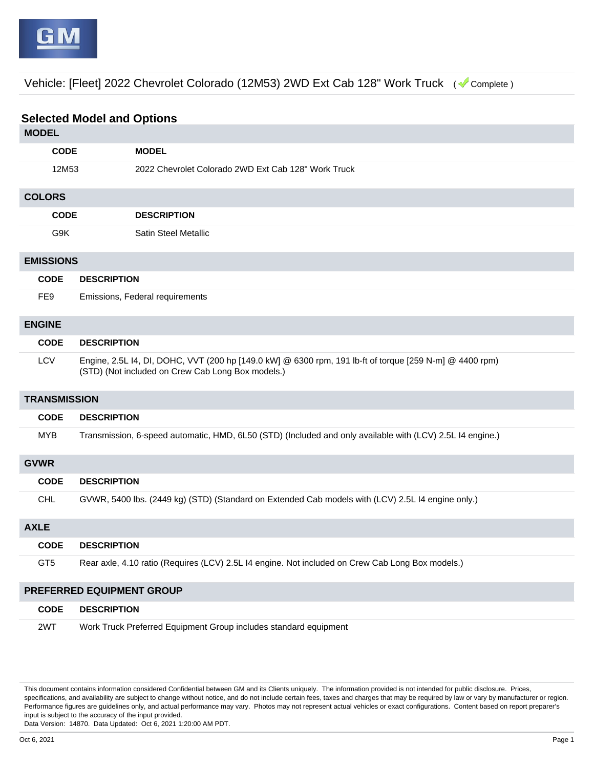Vehicle: [Fleet] 2022 Chevrolet Colorado (12M53) 2WD Ext Cab 128" Work Truck ( Complete )

## **Selected Model and Options**

| <b>MODEL</b>              |                                                                                                                                                              |  |
|---------------------------|--------------------------------------------------------------------------------------------------------------------------------------------------------------|--|
| <b>CODE</b>               | <b>MODEL</b>                                                                                                                                                 |  |
| 12M53                     | 2022 Chevrolet Colorado 2WD Ext Cab 128" Work Truck                                                                                                          |  |
| <b>COLORS</b>             |                                                                                                                                                              |  |
| <b>CODE</b>               | <b>DESCRIPTION</b>                                                                                                                                           |  |
| G9K                       | Satin Steel Metallic                                                                                                                                         |  |
| <b>EMISSIONS</b>          |                                                                                                                                                              |  |
| <b>CODE</b>               | <b>DESCRIPTION</b>                                                                                                                                           |  |
| FE <sub>9</sub>           | Emissions, Federal requirements                                                                                                                              |  |
| <b>ENGINE</b>             |                                                                                                                                                              |  |
| <b>CODE</b>               | <b>DESCRIPTION</b>                                                                                                                                           |  |
| <b>LCV</b>                | Engine, 2.5L I4, DI, DOHC, VVT (200 hp [149.0 kW] @ 6300 rpm, 191 lb-ft of torque [259 N-m] @ 4400 rpm)<br>(STD) (Not included on Crew Cab Long Box models.) |  |
| <b>TRANSMISSION</b>       |                                                                                                                                                              |  |
| <b>CODE</b>               | <b>DESCRIPTION</b>                                                                                                                                           |  |
| <b>MYB</b>                | Transmission, 6-speed automatic, HMD, 6L50 (STD) (Included and only available with (LCV) 2.5L I4 engine.)                                                    |  |
| <b>GVWR</b>               |                                                                                                                                                              |  |
| <b>CODE</b>               | <b>DESCRIPTION</b>                                                                                                                                           |  |
| <b>CHL</b>                | GVWR, 5400 lbs. (2449 kg) (STD) (Standard on Extended Cab models with (LCV) 2.5L I4 engine only.)                                                            |  |
| <b>AXLE</b>               |                                                                                                                                                              |  |
| <b>CODE</b>               | <b>DESCRIPTION</b>                                                                                                                                           |  |
| GT <sub>5</sub>           | Rear axle, 4.10 ratio (Requires (LCV) 2.5L I4 engine. Not included on Crew Cab Long Box models.)                                                             |  |
| PREFERRED EQUIPMENT GROUP |                                                                                                                                                              |  |
| <b>CODE</b>               | <b>DESCRIPTION</b>                                                                                                                                           |  |
| 2WT                       | Work Truck Preferred Equipment Group includes standard equipment                                                                                             |  |

This document contains information considered Confidential between GM and its Clients uniquely. The information provided is not intended for public disclosure. Prices, specifications, and availability are subject to change without notice, and do not include certain fees, taxes and charges that may be required by law or vary by manufacturer or region. Performance figures are guidelines only, and actual performance may vary. Photos may not represent actual vehicles or exact configurations. Content based on report preparer's input is subject to the accuracy of the input provided.

Data Version: 14870. Data Updated: Oct 6, 2021 1:20:00 AM PDT.